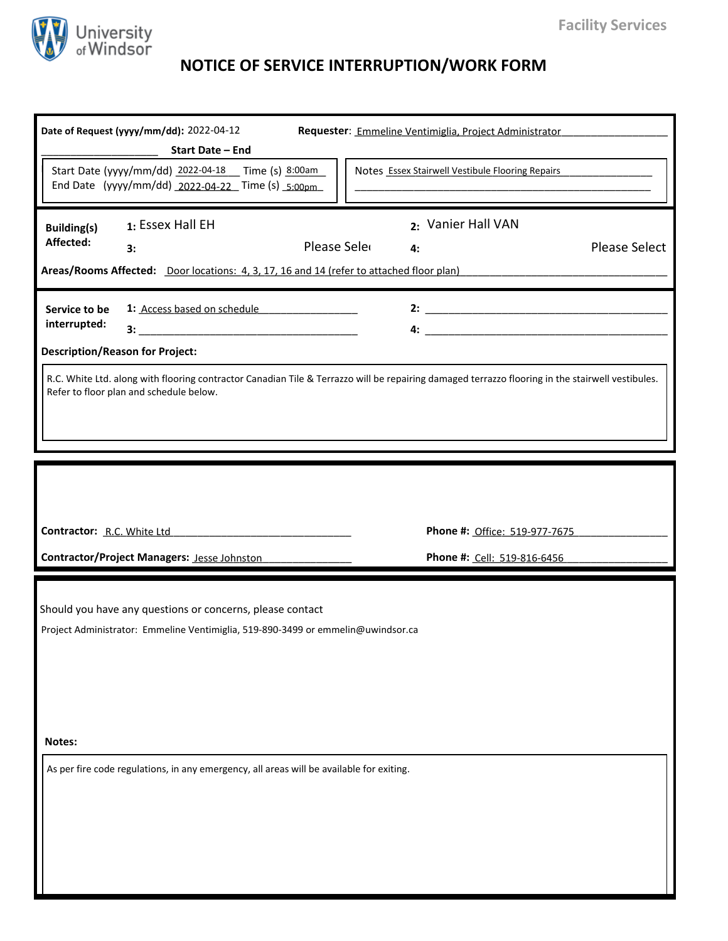

## **NOTICE OF SERVICE INTERRUPTION/WORK FORM**

| Date of Request (yyyy/mm/dd): 2022-04-12<br>Start Date - End                                                                                                                                |             | Requester: Emmeline Ventimiglia, Project Administrator |                               |  |  |  |
|---------------------------------------------------------------------------------------------------------------------------------------------------------------------------------------------|-------------|--------------------------------------------------------|-------------------------------|--|--|--|
| Start Date (yyyy/mm/dd) 2022-04-18    I Time (s) 8:00am<br>End Date (yyyy/mm/dd) 2022-04-22 Time (s) 5:00pm                                                                                 |             | Notes Essex Stairwell Vestibule Flooring Repairs       |                               |  |  |  |
| 1: Essex Hall EH<br><b>Building(s)</b><br>Affected:<br>3:<br>Areas/Rooms Affected: Door locations: 4, 3, 17, 16 and 14 (refer to attached floor plan)                                       | Please Sele | 2: Vanier Hall VAN<br>4:                               | <b>Please Select</b>          |  |  |  |
| 1: Access based on schedule<br>Service to be<br>interrupted:<br><b>Description/Reason for Project:</b>                                                                                      |             |                                                        |                               |  |  |  |
| R.C. White Ltd. along with flooring contractor Canadian Tile & Terrazzo will be repairing damaged terrazzo flooring in the stairwell vestibules.<br>Refer to floor plan and schedule below. |             |                                                        |                               |  |  |  |
|                                                                                                                                                                                             |             |                                                        |                               |  |  |  |
| Contractor: R.C. White Ltd                                                                                                                                                                  |             |                                                        | Phone #: Office: 519-977-7675 |  |  |  |
| Contractor/Project Managers: Jesse Johnston                                                                                                                                                 |             |                                                        | Phone #: Cell: 519-816-6456   |  |  |  |
| Should you have any questions or concerns, please contact<br>Project Administrator: Emmeline Ventimiglia, 519-890-3499 or emmelin@uwindsor.ca                                               |             |                                                        |                               |  |  |  |
| Notes:                                                                                                                                                                                      |             |                                                        |                               |  |  |  |